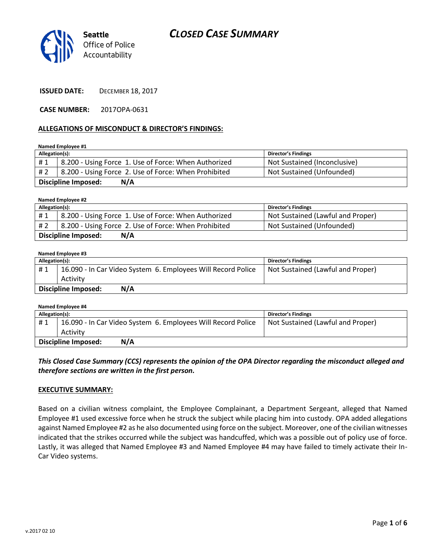

**ISSUED DATE:** DECEMBER 18, 2017

**CASE NUMBER:** 2017OPA-0631

#### **ALLEGATIONS OF MISCONDUCT & DIRECTOR'S FINDINGS:**

**Named Employee #1**

| Allegation(s):                    |                                                      | <b>Director's Findings</b>   |  |
|-----------------------------------|------------------------------------------------------|------------------------------|--|
| #1                                | 8.200 - Using Force 1. Use of Force: When Authorized | Not Sustained (Inconclusive) |  |
| # 2                               | 8.200 - Using Force 2. Use of Force: When Prohibited | Not Sustained (Unfounded)    |  |
| <b>Discipline Imposed:</b><br>N/A |                                                      |                              |  |

**Named Employee #2 Allegation(s): Director's Findings** # 1 | 8.200 - Using Force 1. Use of Force: When Authorized | Not Sustained (Lawful and Proper) # 2 | 8.200 - Using Force 2. Use of Force: When Prohibited | Not Sustained (Unfounded) **Discipline Imposed: N/A**

**Named Employee #3**

| Allegation(s):                    |                                                              | Director's Findings               |
|-----------------------------------|--------------------------------------------------------------|-----------------------------------|
| #1                                | 16.090 - In Car Video System 6. Employees Will Record Police | Not Sustained (Lawful and Proper) |
|                                   | Activity                                                     |                                   |
| N/A<br><b>Discipline Imposed:</b> |                                                              |                                   |

| Named Employee #4          |                                                              |                                   |  |  |
|----------------------------|--------------------------------------------------------------|-----------------------------------|--|--|
| Allegation(s):             |                                                              | Director's Findings               |  |  |
| #1                         | 16.090 - In Car Video System 6. Employees Will Record Police | Not Sustained (Lawful and Proper) |  |  |
|                            | Activity                                                     |                                   |  |  |
| N/A<br>Discipline Imposed: |                                                              |                                   |  |  |

*This Closed Case Summary (CCS) represents the opinion of the OPA Director regarding the misconduct alleged and therefore sections are written in the first person.* 

#### **EXECUTIVE SUMMARY:**

Based on a civilian witness complaint, the Employee Complainant, a Department Sergeant, alleged that Named Employee #1 used excessive force when he struck the subject while placing him into custody. OPA added allegations against Named Employee #2 as he also documented using force on the subject. Moreover, one of the civilian witnesses indicated that the strikes occurred while the subject was handcuffed, which was a possible out of policy use of force. Lastly, it was alleged that Named Employee #3 and Named Employee #4 may have failed to timely activate their In-Car Video systems.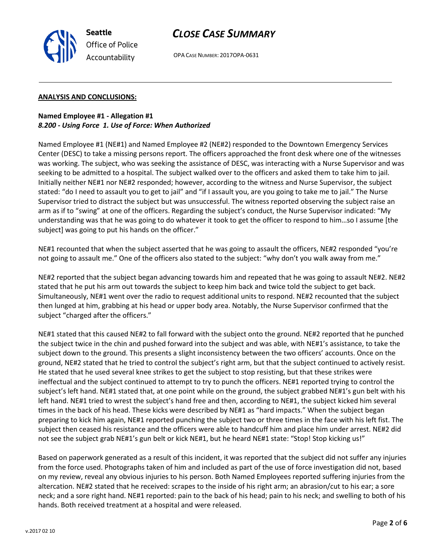

#### **ANALYSIS AND CONCLUSIONS:**

**Seattle**

*Office of Police Accountability*

### **Named Employee #1 - Allegation #1** *8.200 - Using Force 1. Use of Force: When Authorized*

Named Employee #1 (NE#1) and Named Employee #2 (NE#2) responded to the Downtown Emergency Services Center (DESC) to take a missing persons report. The officers approached the front desk where one of the witnesses was working. The subject, who was seeking the assistance of DESC, was interacting with a Nurse Supervisor and was seeking to be admitted to a hospital. The subject walked over to the officers and asked them to take him to jail. Initially neither NE#1 nor NE#2 responded; however, according to the witness and Nurse Supervisor, the subject stated: "do I need to assault you to get to jail" and "if I assault you, are you going to take me to jail." The Nurse Supervisor tried to distract the subject but was unsuccessful. The witness reported observing the subject raise an arm as if to "swing" at one of the officers. Regarding the subject's conduct, the Nurse Supervisor indicated: "My understanding was that he was going to do whatever it took to get the officer to respond to him…so I assume [the subject] was going to put his hands on the officer."

NE#1 recounted that when the subject asserted that he was going to assault the officers, NE#2 responded "you're not going to assault me." One of the officers also stated to the subject: "why don't you walk away from me."

NE#2 reported that the subject began advancing towards him and repeated that he was going to assault NE#2. NE#2 stated that he put his arm out towards the subject to keep him back and twice told the subject to get back. Simultaneously, NE#1 went over the radio to request additional units to respond. NE#2 recounted that the subject then lunged at him, grabbing at his head or upper body area. Notably, the Nurse Supervisor confirmed that the subject "charged after the officers."

NE#1 stated that this caused NE#2 to fall forward with the subject onto the ground. NE#2 reported that he punched the subject twice in the chin and pushed forward into the subject and was able, with NE#1's assistance, to take the subject down to the ground. This presents a slight inconsistency between the two officers' accounts. Once on the ground, NE#2 stated that he tried to control the subject's right arm, but that the subject continued to actively resist. He stated that he used several knee strikes to get the subject to stop resisting, but that these strikes were ineffectual and the subject continued to attempt to try to punch the officers. NE#1 reported trying to control the subject's left hand. NE#1 stated that, at one point while on the ground, the subject grabbed NE#1's gun belt with his left hand. NE#1 tried to wrest the subject's hand free and then, according to NE#1, the subject kicked him several times in the back of his head. These kicks were described by NE#1 as "hard impacts." When the subject began preparing to kick him again, NE#1 reported punching the subject two or three times in the face with his left fist. The subject then ceased his resistance and the officers were able to handcuff him and place him under arrest. NE#2 did not see the subject grab NE#1's gun belt or kick NE#1, but he heard NE#1 state: "Stop! Stop kicking us!"

Based on paperwork generated as a result of this incident, it was reported that the subject did not suffer any injuries from the force used. Photographs taken of him and included as part of the use of force investigation did not, based on my review, reveal any obvious injuries to his person. Both Named Employees reported suffering injuries from the altercation. NE#2 stated that he received: scrapes to the inside of his right arm; an abrasion/cut to his ear; a sore neck; and a sore right hand. NE#1 reported: pain to the back of his head; pain to his neck; and swelling to both of his hands. Both received treatment at a hospital and were released.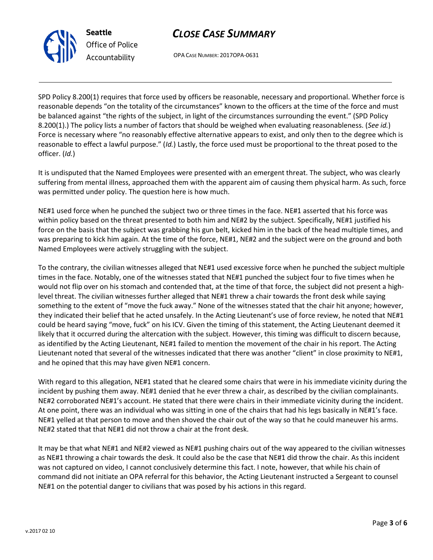



SPD Policy 8.200(1) requires that force used by officers be reasonable, necessary and proportional. Whether force is reasonable depends "on the totality of the circumstances" known to the officers at the time of the force and must be balanced against "the rights of the subject, in light of the circumstances surrounding the event." (SPD Policy 8.200(1).) The policy lists a number of factors that should be weighed when evaluating reasonableness. (*See id.*) Force is necessary where "no reasonably effective alternative appears to exist, and only then to the degree which is reasonable to effect a lawful purpose." (*Id.*) Lastly, the force used must be proportional to the threat posed to the officer. (*Id.*)

It is undisputed that the Named Employees were presented with an emergent threat. The subject, who was clearly suffering from mental illness, approached them with the apparent aim of causing them physical harm. As such, force was permitted under policy. The question here is how much.

NE#1 used force when he punched the subject two or three times in the face. NE#1 asserted that his force was within policy based on the threat presented to both him and NE#2 by the subject. Specifically, NE#1 justified his force on the basis that the subject was grabbing his gun belt, kicked him in the back of the head multiple times, and was preparing to kick him again. At the time of the force, NE#1, NE#2 and the subject were on the ground and both Named Employees were actively struggling with the subject.

To the contrary, the civilian witnesses alleged that NE#1 used excessive force when he punched the subject multiple times in the face. Notably, one of the witnesses stated that NE#1 punched the subject four to five times when he would not flip over on his stomach and contended that, at the time of that force, the subject did not present a highlevel threat. The civilian witnesses further alleged that NE#1 threw a chair towards the front desk while saying something to the extent of "move the fuck away." None of the witnesses stated that the chair hit anyone; however, they indicated their belief that he acted unsafely. In the Acting Lieutenant's use of force review, he noted that NE#1 could be heard saying "move, fuck" on his ICV. Given the timing of this statement, the Acting Lieutenant deemed it likely that it occurred during the altercation with the subject. However, this timing was difficult to discern because, as identified by the Acting Lieutenant, NE#1 failed to mention the movement of the chair in his report. The Acting Lieutenant noted that several of the witnesses indicated that there was another "client" in close proximity to NE#1, and he opined that this may have given NE#1 concern.

With regard to this allegation, NE#1 stated that he cleared some chairs that were in his immediate vicinity during the incident by pushing them away. NE#1 denied that he ever threw a chair, as described by the civilian complainants. NE#2 corroborated NE#1's account. He stated that there were chairs in their immediate vicinity during the incident. At one point, there was an individual who was sitting in one of the chairs that had his legs basically in NE#1's face. NE#1 yelled at that person to move and then shoved the chair out of the way so that he could maneuver his arms. NE#2 stated that that NE#1 did not throw a chair at the front desk.

It may be that what NE#1 and NE#2 viewed as NE#1 pushing chairs out of the way appeared to the civilian witnesses as NE#1 throwing a chair towards the desk. It could also be the case that NE#1 did throw the chair. As this incident was not captured on video, I cannot conclusively determine this fact. I note, however, that while his chain of command did not initiate an OPA referral for this behavior, the Acting Lieutenant instructed a Sergeant to counsel NE#1 on the potential danger to civilians that was posed by his actions in this regard.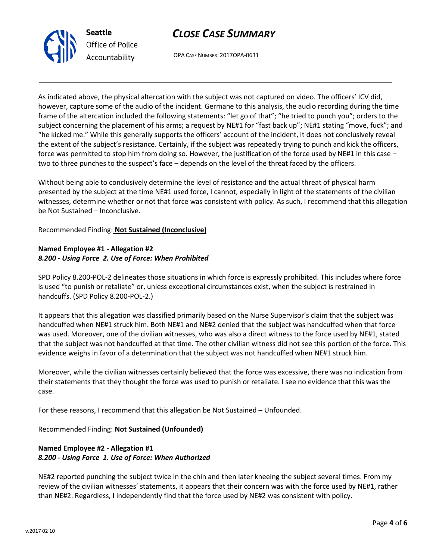



As indicated above, the physical altercation with the subject was not captured on video. The officers' ICV did, however, capture some of the audio of the incident. Germane to this analysis, the audio recording during the time frame of the altercation included the following statements: "let go of that"; "he tried to punch you"; orders to the subject concerning the placement of his arms; a request by NE#1 for "fast back up"; NE#1 stating "move, fuck"; and "he kicked me." While this generally supports the officers' account of the incident, it does not conclusively reveal the extent of the subject's resistance. Certainly, if the subject was repeatedly trying to punch and kick the officers, force was permitted to stop him from doing so. However, the justification of the force used by NE#1 in this case – two to three punches to the suspect's face – depends on the level of the threat faced by the officers.

Without being able to conclusively determine the level of resistance and the actual threat of physical harm presented by the subject at the time NE#1 used force, I cannot, especially in light of the statements of the civilian witnesses, determine whether or not that force was consistent with policy. As such, I recommend that this allegation be Not Sustained – Inconclusive.

Recommended Finding: **Not Sustained (Inconclusive)**

## **Named Employee #1 - Allegation #2** *8.200 - Using Force 2. Use of Force: When Prohibited*

SPD Policy 8.200-POL-2 delineates those situations in which force is expressly prohibited. This includes where force is used "to punish or retaliate" or, unless exceptional circumstances exist, when the subject is restrained in handcuffs. (SPD Policy 8.200-POL-2.)

It appears that this allegation was classified primarily based on the Nurse Supervisor's claim that the subject was handcuffed when NE#1 struck him. Both NE#1 and NE#2 denied that the subject was handcuffed when that force was used. Moreover, one of the civilian witnesses, who was also a direct witness to the force used by NE#1, stated that the subject was not handcuffed at that time. The other civilian witness did not see this portion of the force. This evidence weighs in favor of a determination that the subject was not handcuffed when NE#1 struck him.

Moreover, while the civilian witnesses certainly believed that the force was excessive, there was no indication from their statements that they thought the force was used to punish or retaliate. I see no evidence that this was the case.

For these reasons, I recommend that this allegation be Not Sustained – Unfounded.

Recommended Finding: **Not Sustained (Unfounded)**

# **Named Employee #2 - Allegation #1** *8.200 - Using Force 1. Use of Force: When Authorized*

NE#2 reported punching the subject twice in the chin and then later kneeing the subject several times. From my review of the civilian witnesses' statements, it appears that their concern was with the force used by NE#1, rather than NE#2. Regardless, I independently find that the force used by NE#2 was consistent with policy.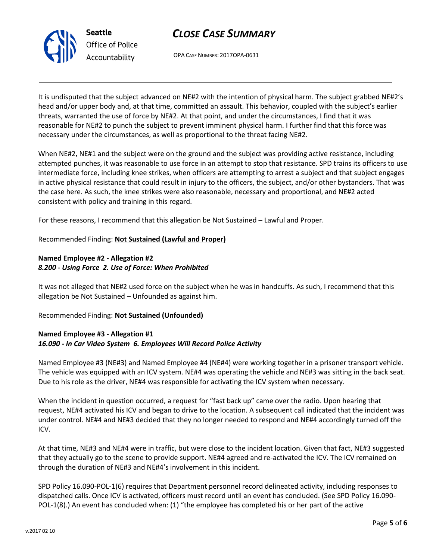



It is undisputed that the subject advanced on NE#2 with the intention of physical harm. The subject grabbed NE#2's head and/or upper body and, at that time, committed an assault. This behavior, coupled with the subject's earlier threats, warranted the use of force by NE#2. At that point, and under the circumstances, I find that it was reasonable for NE#2 to punch the subject to prevent imminent physical harm. I further find that this force was necessary under the circumstances, as well as proportional to the threat facing NE#2.

When NE#2, NE#1 and the subject were on the ground and the subject was providing active resistance, including attempted punches, it was reasonable to use force in an attempt to stop that resistance. SPD trains its officers to use intermediate force, including knee strikes, when officers are attempting to arrest a subject and that subject engages in active physical resistance that could result in injury to the officers, the subject, and/or other bystanders. That was the case here. As such, the knee strikes were also reasonable, necessary and proportional, and NE#2 acted consistent with policy and training in this regard.

For these reasons, I recommend that this allegation be Not Sustained – Lawful and Proper.

### Recommended Finding: **Not Sustained (Lawful and Proper)**

## **Named Employee #2 - Allegation #2** *8.200 - Using Force 2. Use of Force: When Prohibited*

It was not alleged that NE#2 used force on the subject when he was in handcuffs. As such, I recommend that this allegation be Not Sustained – Unfounded as against him.

#### Recommended Finding: **Not Sustained (Unfounded)**

### **Named Employee #3 - Allegation #1** *16.090 - In Car Video System 6. Employees Will Record Police Activity*

Named Employee #3 (NE#3) and Named Employee #4 (NE#4) were working together in a prisoner transport vehicle. The vehicle was equipped with an ICV system. NE#4 was operating the vehicle and NE#3 was sitting in the back seat. Due to his role as the driver, NE#4 was responsible for activating the ICV system when necessary.

When the incident in question occurred, a request for "fast back up" came over the radio. Upon hearing that request, NE#4 activated his ICV and began to drive to the location. A subsequent call indicated that the incident was under control. NE#4 and NE#3 decided that they no longer needed to respond and NE#4 accordingly turned off the ICV.

At that time, NE#3 and NE#4 were in traffic, but were close to the incident location. Given that fact, NE#3 suggested that they actually go to the scene to provide support. NE#4 agreed and re-activated the ICV. The ICV remained on through the duration of NE#3 and NE#4's involvement in this incident.

SPD Policy 16.090-POL-1(6) requires that Department personnel record delineated activity, including responses to dispatched calls. Once ICV is activated, officers must record until an event has concluded. (See SPD Policy 16.090- POL-1(8).) An event has concluded when: (1) "the employee has completed his or her part of the active